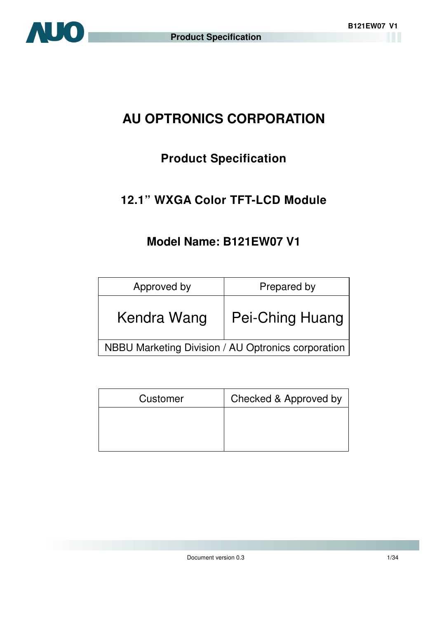# **AU OPTRONICS CORPORATION**

# **Product Specification**

# **12.1" WXGA Color TFT-LCD Module**

# **Model Name: B121EW07 V1**

| Approved by                                        | Prepared by            |  |  |
|----------------------------------------------------|------------------------|--|--|
| Kendra Wang                                        | <b>Pei-Ching Huang</b> |  |  |
| NBBU Marketing Division / AU Optronics corporation |                        |  |  |

| Customer | Checked & Approved by |
|----------|-----------------------|
|          |                       |
|          |                       |
|          |                       |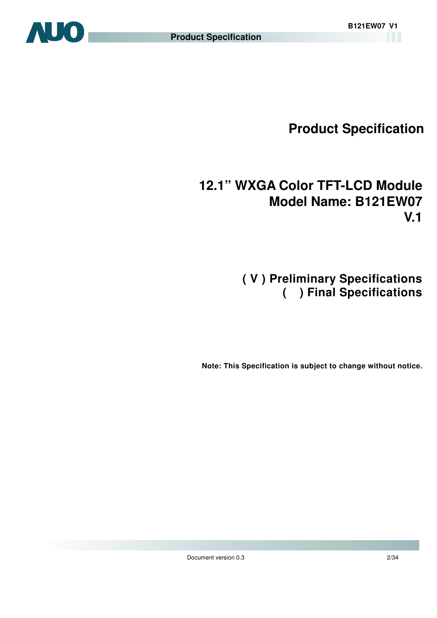

# **Product Specification**

# **12.1" WXGA Color TFT-LCD Module Model Name: B121EW07 V.1**

# **( V ) Preliminary Specifications ( ) Final Specifications**

 **Note: This Specification is subject to change without notice.**

Document version 0.3 2/34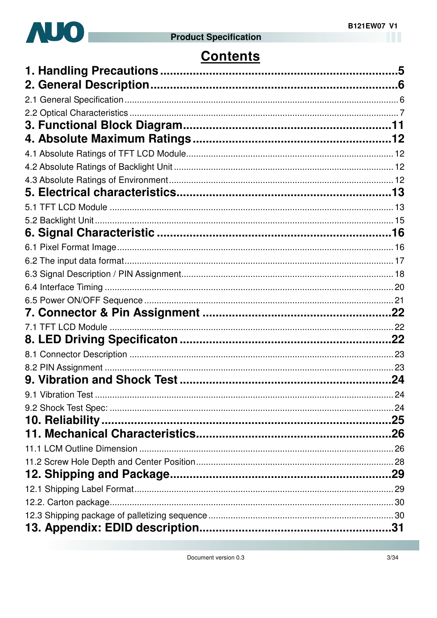

# **Contents**

| .24 |
|-----|
|     |
|     |
|     |
|     |
|     |
|     |
|     |
|     |
|     |
|     |
|     |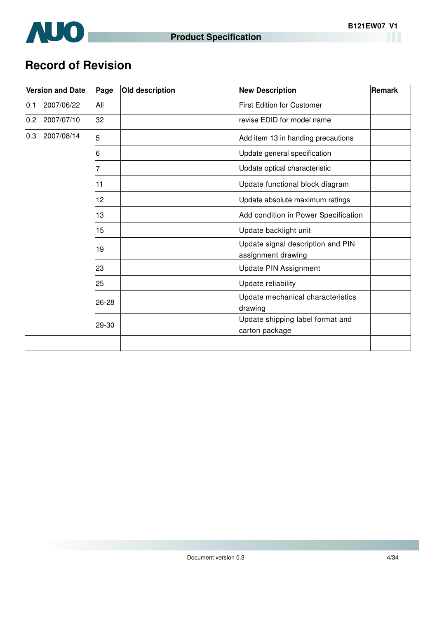

# **Record of Revision**

|     | <b>Version and Date</b> | Page  | Old description | <b>New Description</b>                                  | Remark |  |  |
|-----|-------------------------|-------|-----------------|---------------------------------------------------------|--------|--|--|
| 0.1 | 2007/06/22              | All   |                 | <b>First Edition for Customer</b>                       |        |  |  |
| 0.2 | 2007/07/10              | 32    |                 | revise EDID for model name                              |        |  |  |
| 0.3 | 2007/08/14              | 5     |                 | Add item 13 in handing precautions                      |        |  |  |
|     |                         | 6     |                 | Update general specification                            |        |  |  |
|     |                         | 7     |                 | Update optical characteristic                           |        |  |  |
|     |                         | 11    |                 | Update functional block diagram                         |        |  |  |
|     |                         | 12    |                 | Update absolute maximum ratings                         |        |  |  |
|     |                         | 13    |                 | Add condition in Power Specification                    |        |  |  |
|     |                         | 15    |                 | Update backlight unit                                   |        |  |  |
|     |                         | 19    |                 | Update signal description and PIN<br>assignment drawing |        |  |  |
|     |                         | 23    |                 | <b>Update PIN Assignment</b>                            |        |  |  |
|     |                         | 25    |                 | Update reliability                                      |        |  |  |
|     |                         | 26-28 |                 | Update mechanical characteristics<br>drawing            |        |  |  |
|     |                         | 29-30 |                 | Update shipping label format and<br>carton package      |        |  |  |
|     |                         |       |                 |                                                         |        |  |  |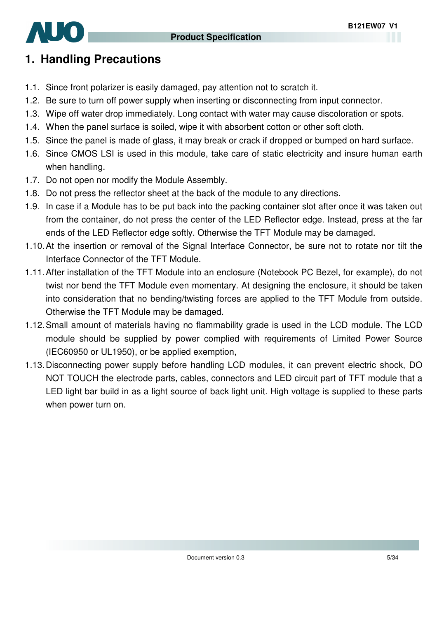

# **1. Handling Precautions**

- 1.1. Since front polarizer is easily damaged, pay attention not to scratch it.
- 1.2. Be sure to turn off power supply when inserting or disconnecting from input connector.
- 1.3. Wipe off water drop immediately. Long contact with water may cause discoloration or spots.
- 1.4. When the panel surface is soiled, wipe it with absorbent cotton or other soft cloth.
- 1.5. Since the panel is made of glass, it may break or crack if dropped or bumped on hard surface.
- 1.6. Since CMOS LSI is used in this module, take care of static electricity and insure human earth when handling.
- 1.7. Do not open nor modify the Module Assembly.
- 1.8. Do not press the reflector sheet at the back of the module to any directions.
- 1.9. In case if a Module has to be put back into the packing container slot after once it was taken out from the container, do not press the center of the LED Reflector edge. Instead, press at the far ends of the LED Reflector edge softly. Otherwise the TFT Module may be damaged.
- 1.10. At the insertion or removal of the Signal Interface Connector, be sure not to rotate nor tilt the Interface Connector of the TFT Module.
- 1.11. After installation of the TFT Module into an enclosure (Notebook PC Bezel, for example), do not twist nor bend the TFT Module even momentary. At designing the enclosure, it should be taken into consideration that no bending/twisting forces are applied to the TFT Module from outside. Otherwise the TFT Module may be damaged.
- 1.12. Small amount of materials having no flammability grade is used in the LCD module. The LCD module should be supplied by power complied with requirements of Limited Power Source (IEC60950 or UL1950), or be applied exemption,
- 1.13. Disconnecting power supply before handling LCD modules, it can prevent electric shock, DO NOT TOUCH the electrode parts, cables, connectors and LED circuit part of TFT module that a LED light bar build in as a light source of back light unit. High voltage is supplied to these parts when power turn on.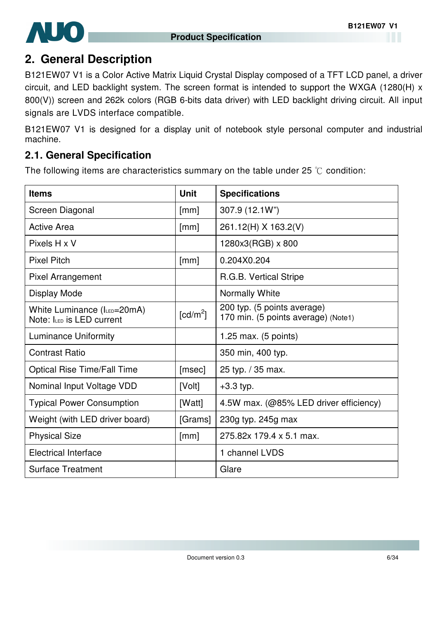

# **2. General Description**

B121EW07 V1 is a Color Active Matrix Liquid Crystal Display composed of a TFT LCD panel, a driver circuit, and LED backlight system. The screen format is intended to support the WXGA (1280(H) x 800(V)) screen and 262k colors (RGB 6-bits data driver) with LED backlight driving circuit. All input signals are LVDS interface compatible.

B121EW07 V1 is designed for a display unit of notebook style personal computer and industrial machine.

#### **2.1. General Specification**

The following items are characteristics summary on the table under 25  $\degree$ C condition:

| <b>Items</b>                                             | <b>Unit</b> | <b>Specifications</b>                                              |
|----------------------------------------------------------|-------------|--------------------------------------------------------------------|
| Screen Diagonal                                          | [mm]        | 307.9 (12.1W")                                                     |
| <b>Active Area</b>                                       | [mm]        | 261.12(H) X 163.2(V)                                               |
| Pixels H x V                                             |             | 1280x3(RGB) x 800                                                  |
| <b>Pixel Pitch</b>                                       | [mm]        | 0.204X0.204                                                        |
| <b>Pixel Arrangement</b>                                 |             | R.G.B. Vertical Stripe                                             |
| Display Mode                                             |             | Normally White                                                     |
| White Luminance (ILED=20mA)<br>Note: ILED IS LED current | $[cd/m^2]$  | 200 typ. (5 points average)<br>170 min. (5 points average) (Note1) |
| Luminance Uniformity                                     |             | $1.25$ max. (5 points)                                             |
| <b>Contrast Ratio</b>                                    |             | 350 min, 400 typ.                                                  |
| <b>Optical Rise Time/Fall Time</b>                       | [msec]      | 25 typ. / 35 max.                                                  |
| Nominal Input Voltage VDD                                | [Volt]      | $+3.3$ typ.                                                        |
| <b>Typical Power Consumption</b>                         | [Watt]      | 4.5W max. (@85% LED driver efficiency)                             |
| Weight (with LED driver board)                           | [Grams]     | 230g typ. 245g max                                                 |
| <b>Physical Size</b>                                     | [mm]        | 275.82x 179.4 x 5.1 max.                                           |
| <b>Electrical Interface</b>                              |             | 1 channel LVDS                                                     |
| <b>Surface Treatment</b>                                 |             | Glare                                                              |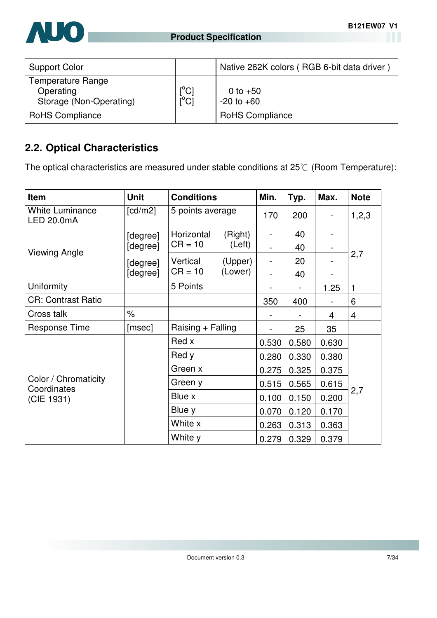

| <b>Support Color</b>                                      |                                         | Native 262K colors (RGB 6-bit data driver) |
|-----------------------------------------------------------|-----------------------------------------|--------------------------------------------|
| Temperature Range<br>Operating<br>Storage (Non-Operating) | $[^{\circ}C]$<br>$\overline{C}^{\circ}$ | 0 to $+50$<br>$-20$ to $+60$               |
| <b>RoHS Compliance</b>                                    |                                         | <b>RoHS Compliance</b>                     |

# **2.2. Optical Characteristics**

The optical characteristics are measured under stable conditions at  $25^{\circ}$  (Room Temperature):

| Item                                 | <b>Unit</b> |                   | <b>Conditions</b><br>Min. |                          | Typ.  | Max.  | <b>Note</b> |
|--------------------------------------|-------------|-------------------|---------------------------|--------------------------|-------|-------|-------------|
| <b>White Luminance</b><br>LED 20.0mA | [cd/m2]     | 5 points average  |                           | 170                      | 200   |       | 1,2,3       |
|                                      | [degree]    | Horizontal        | (Right)                   | $\overline{\phantom{a}}$ | 40    |       |             |
| <b>Viewing Angle</b>                 | [degree]    | $CR = 10$         | (Left)                    |                          | 40    |       |             |
|                                      | [degree]    | Vertical          | (Upper)                   |                          | 20    |       | 2,7         |
|                                      | [degree]    | $CR = 10$         | (Lower)                   |                          | 40    |       |             |
| Uniformity                           |             | 5 Points          |                           |                          |       | 1.25  | 1           |
| <b>CR: Contrast Ratio</b>            |             |                   |                           | 350                      | 400   |       | 6           |
| Cross talk                           | $\%$        |                   |                           |                          |       | 4     | 4           |
| <b>Response Time</b>                 | [msec]      | Raising + Falling |                           |                          | 25    | 35    |             |
|                                      |             | Red x             |                           | 0.530                    | 0.580 | 0.630 |             |
|                                      |             | Red y             |                           | 0.280                    | 0.330 | 0.380 |             |
|                                      |             | Green x           |                           | 0.275                    | 0.325 | 0.375 |             |
| Color / Chromaticity<br>Coordinates  |             | Green y           |                           | 0.515                    | 0.565 | 0.615 |             |
| (CIE 1931)                           |             | Blue x            |                           | 0.100                    | 0.150 | 0.200 | 2,7         |
|                                      |             | Blue y            |                           | 0.070                    | 0.120 | 0.170 |             |
|                                      |             | White x           |                           | 0.263                    | 0.313 | 0.363 |             |
|                                      |             | White y           |                           | 0.279                    | 0.329 | 0.379 |             |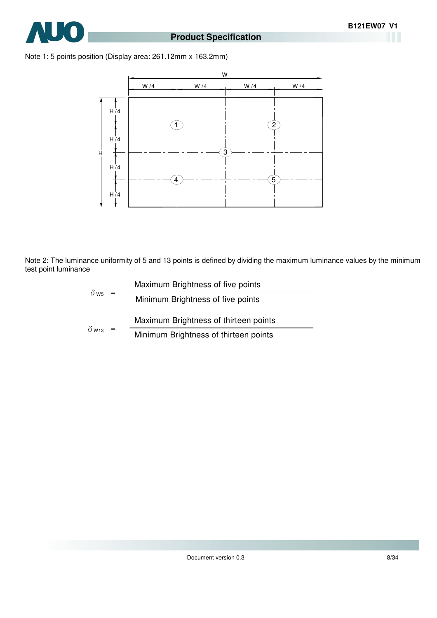

#### Note 1: 5 points position (Display area: 261.12mm x 163.2mm)



Note 2: The luminance uniformity of 5 and 13 points is defined by dividing the maximum luminance values by the minimum test point luminance

$$
\delta_{\text{W5}} = \frac{\text{Maximum Brightness of five points}}{\text{Minimum Brightness of five points}}
$$
\n
$$
\delta_{\text{W13}} = \frac{\text{Maximum Brightness of thirteen points}}{\text{Minimum Brightness of thirteen points}}
$$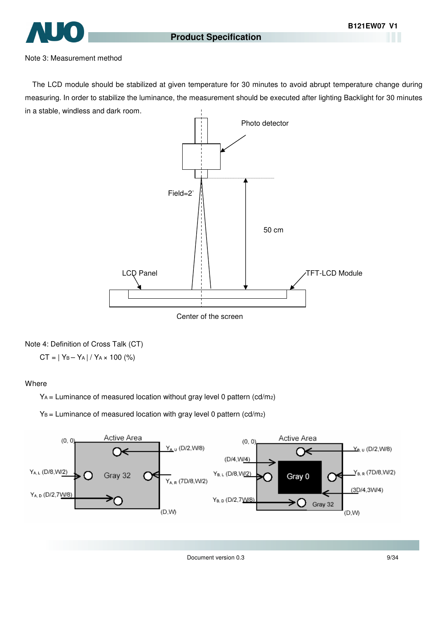

#### Note 3: Measurement method

The LCD module should be stabilized at given temperature for 30 minutes to avoid abrupt temperature change during measuring. In order to stabilize the luminance, the measurement should be executed after lighting Backlight for 30 minutes in a stable, windless and dark room.



Center of the screen

#### Note 4: Definition of Cross Talk (CT)

 $CT = | Y_B - Y_A | / Y_A \times 100 (%)$ 

#### **Where**

YA = Luminance of measured location without gray level 0 pattern (cd/m2)

 $Y_B$  = Luminance of measured location with gray level 0 pattern (cd/m2)



Document version 0.3 9/34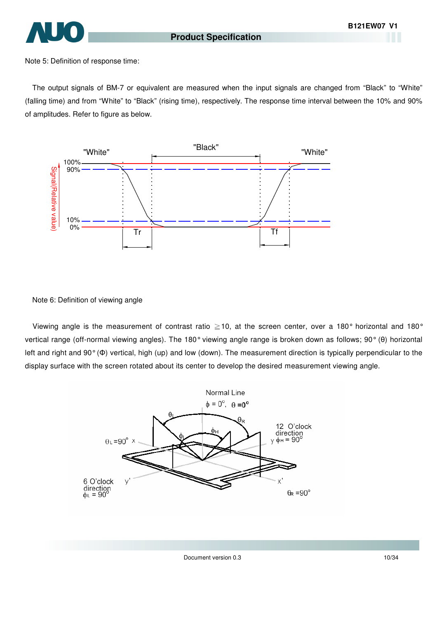

Note 5: Definition of response time:

The output signals of BM-7 or equivalent are measured when the input signals are changed from "Black" to "White" (falling time) and from "White" to "Black" (rising time), respectively. The response time interval between the 10% and 90% of amplitudes. Refer to figure as below.



Note 6: Definition of viewing angle

Viewing angle is the measurement of contrast ratio  $\geq$  10, at the screen center, over a 180° horizontal and 180° vertical range (off-normal viewing angles). The 180° viewing angle range is broken down as follows; 90° (θ) horizontal left and right and 90° (Φ) vertical, high (up) and low (down). The measurement direction is typically perpendicular to the display surface with the screen rotated about its center to develop the desired measurement viewing angle.

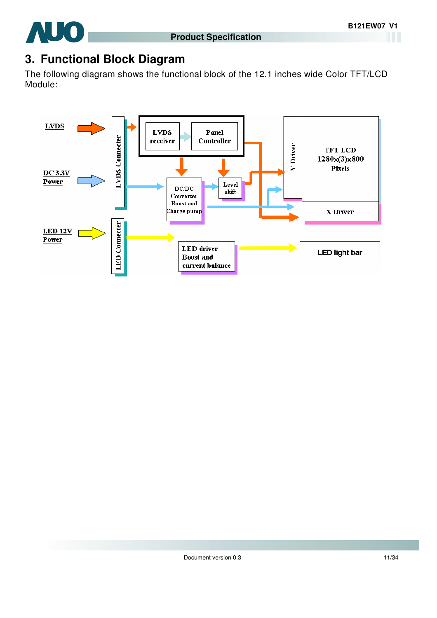

# **3. Functional Block Diagram**

The following diagram shows the functional block of the 12.1 inches wide Color TFT/LCD Module:

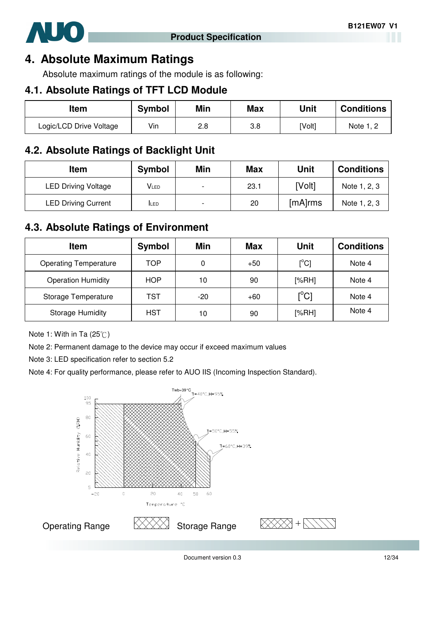

## **4. Absolute Maximum Ratings**

Absolute maximum ratings of the module is as following:

#### **4.1. Absolute Ratings of TFT LCD Module**

| Item                    | Symbol | Min | <b>Max</b> | Unit   | <b>Conditions</b> |
|-------------------------|--------|-----|------------|--------|-------------------|
| Logic/LCD Drive Voltage | Vin    | 2.8 | 3.8        | [Volt] | Note 1, 2         |

### **4.2. Absolute Ratings of Backlight Unit**

| <b>Item</b>                | <b>Symbol</b> | Min                      | <b>Max</b> | Unit    | <b>Conditions</b> |
|----------------------------|---------------|--------------------------|------------|---------|-------------------|
| <b>LED Driving Voltage</b> | Vled          | $\overline{\phantom{a}}$ | 23.1       | [Volt]  | Note 1, 2, 3      |
| <b>LED Driving Current</b> | <b>ILED</b>   | $\overline{a}$           | 20         | [mA]rms | Note 1, 2, 3      |

## **4.3. Absolute Ratings of Environment**

| <b>Item</b>                  | Symbol     | Min   | <b>Max</b> | <b>Unit</b>                             | <b>Conditions</b> |
|------------------------------|------------|-------|------------|-----------------------------------------|-------------------|
| <b>Operating Temperature</b> | TOP        | 0     | $+50$      | $[^{\circ}C]$                           | Note 4            |
| <b>Operation Humidity</b>    | <b>HOP</b> | 10    | 90         | [%RH]                                   | Note 4            |
| Storage Temperature          | TST        | $-20$ | $+60$      | $\mathsf{I}^\circ\mathsf{C} \mathsf{I}$ | Note 4            |
| <b>Storage Humidity</b>      | HST        | 10    | 90         | [%RH]                                   | Note 4            |

Note 1: With in Ta  $(25^{\circ}\text{C})$ 

Note 2: Permanent damage to the device may occur if exceed maximum values

Note 3: LED specification refer to section 5.2

Note 4: For quality performance, please refer to AUO IIS (Incoming Inspection Standard).



Document version 0.3 12/34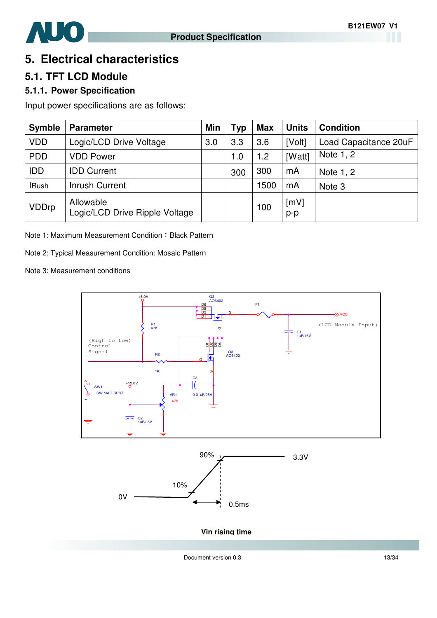

# **5. Electrical characteristics**

## **5.1. TFT LCD Module**

#### **5.1.1. Power Specification**

Input power specifications are as follows:

| <b>Symble</b> | <b>Parameter</b>                            | Min | <b>Typ</b> | <b>Max</b> | <b>Units</b>  | <b>Condition</b>      |
|---------------|---------------------------------------------|-----|------------|------------|---------------|-----------------------|
| <b>VDD</b>    | Logic/LCD Drive Voltage                     | 3.0 | 3.3        | 3.6        | [Volt]        | Load Capacitance 20uF |
| <b>PDD</b>    | <b>VDD Power</b>                            |     | 1.0        | 1.2        | [Watt]        | Note 1, 2             |
| <b>IDD</b>    | <b>IDD Current</b>                          |     | 300        | 300        | mA            | Note 1, 2             |
| <b>IRush</b>  | <b>Inrush Current</b>                       |     |            | 1500       | mA            | Note <sub>3</sub>     |
| <b>VDDrp</b>  | Allowable<br>Logic/LCD Drive Ripple Voltage |     |            | 100        | [mV]<br>$p-p$ |                       |

Note 1: Maximum Measurement Condition: Black Pattern

Note 2: Typical Measurement Condition: Mosaic Pattern

Note 3: Measurement conditions



Document version 0.3 13/34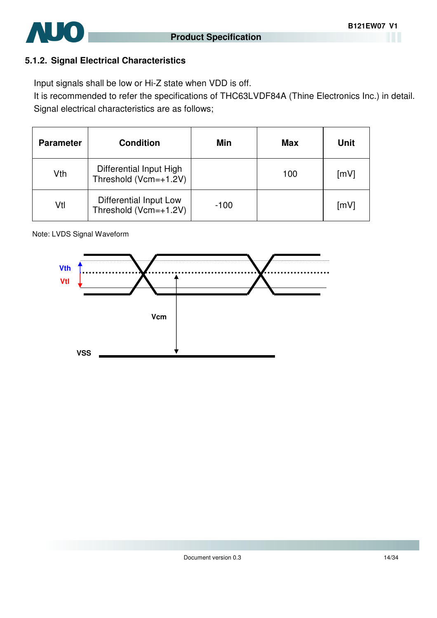

#### **5.1.2. Signal Electrical Characteristics**

Input signals shall be low or Hi-Z state when VDD is off.

It is recommended to refer the specifications of THC63LVDF84A (Thine Electronics Inc.) in detail. Signal electrical characteristics are as follows;

| <b>Parameter</b> | <b>Condition</b>                                 | Min    | <b>Max</b> | Unit |
|------------------|--------------------------------------------------|--------|------------|------|
| Vth              | Differential Input High<br>Threshold (Vcm=+1.2V) |        | 100        | [mV] |
| Vtl              | Differential Input Low<br>Threshold (Vcm=+1.2V)  | $-100$ |            | [mV] |

Note: LVDS Signal Waveform

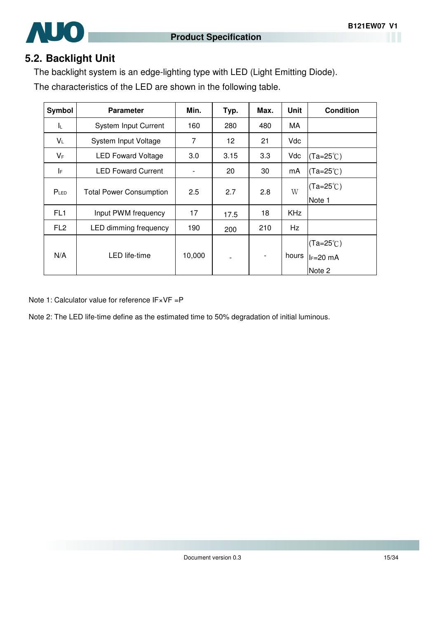

#### **5.2. Backlight Unit**

The backlight system is an edge-lighting type with LED (Light Emitting Diode).

The characteristics of the LED are shown in the following table.

| Symbol           | <b>Parameter</b>               | Min.   | Typ. | Max. | <b>Unit</b> | <b>Condition</b>                            |
|------------------|--------------------------------|--------|------|------|-------------|---------------------------------------------|
| IL.              | <b>System Input Current</b>    | 160    | 280  | 480  | МA          |                                             |
| $V_L$            | System Input Voltage           | 7      | 12   | 21   | Vdc         |                                             |
| $V_F$            | <b>LED Foward Voltage</b>      | 3.0    | 3.15 | 3.3  | Vdc         | $(Ta=25^{\circ}C)$                          |
| IF.              | <b>LED Foward Current</b>      |        | 20   | 30   | mA          | $(Ta=25^{\circ}C)$                          |
| P <sub>LED</sub> | <b>Total Power Consumption</b> | 2.5    | 2.7  | 2.8  | W           | $(Ta=25^{\circ}C)$<br>Note 1                |
| FL <sub>1</sub>  | Input PWM frequency            | 17     | 17.5 | 18   | <b>KHz</b>  |                                             |
| FL <sub>2</sub>  | LED dimming frequency          | 190    | 200  | 210  | Hz          |                                             |
| N/A              | LED life-time                  | 10,000 |      |      | hours       | $(Ta=25^{\circ}C)$<br>$l = 20$ mA<br>Note 2 |

Note 1: Calculator value for reference IF×VF =P

Note 2: The LED life-time define as the estimated time to 50% degradation of initial luminous.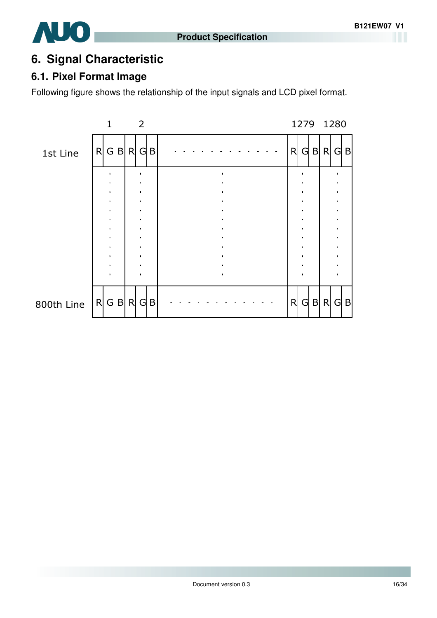# **AUO**

# **6. Signal Characteristic**

# **6.1. Pixel Format Image**

Following figure shows the relationship of the input signals and LCD pixel format.

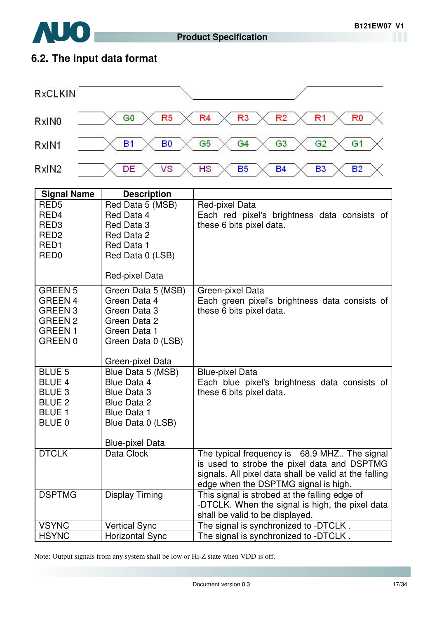

# **6.2. The input data format**

**AUO** 



| <b>Signal Name</b>      | <b>Description</b>                      |                                                                                    |
|-------------------------|-----------------------------------------|------------------------------------------------------------------------------------|
| RED <sub>5</sub>        | Red Data 5 (MSB)                        | Red-pixel Data                                                                     |
| RED4                    | Red Data 4                              | Each red pixel's brightness data consists of                                       |
| RED <sub>3</sub>        | Red Data 3                              | these 6 bits pixel data.                                                           |
| RED <sub>2</sub>        | Red Data 2                              |                                                                                    |
| RED <sub>1</sub>        | Red Data 1                              |                                                                                    |
| RED <sub>0</sub>        | Red Data 0 (LSB)                        |                                                                                    |
|                         | Red-pixel Data                          |                                                                                    |
| <b>GREEN 5</b>          | Green Data 5 (MSB)                      | Green-pixel Data                                                                   |
| <b>GREEN 4</b>          | Green Data 4                            | Each green pixel's brightness data consists of                                     |
| GREEN <sub>3</sub>      | Green Data 3                            | these 6 bits pixel data.                                                           |
| <b>GREEN 2</b>          | Green Data 2                            |                                                                                    |
| <b>GREEN1</b>           | Green Data 1                            |                                                                                    |
| GREEN 0                 | Green Data 0 (LSB)                      |                                                                                    |
|                         | Green-pixel Data                        |                                                                                    |
| <b>BLUE 5</b>           | Blue Data 5 (MSB)                       | <b>Blue-pixel Data</b>                                                             |
| <b>BLUE 4</b>           | Blue Data 4                             | Each blue pixel's brightness data consists of                                      |
| <b>BLUE 3</b>           | <b>Blue Data 3</b>                      | these 6 bits pixel data.                                                           |
| <b>BLUE 2</b>           | <b>Blue Data 2</b>                      |                                                                                    |
| <b>BLUE 1</b><br>BLUE 0 | <b>Blue Data 1</b><br>Blue Data 0 (LSB) |                                                                                    |
|                         |                                         |                                                                                    |
|                         | <b>Blue-pixel Data</b>                  |                                                                                    |
| <b>DTCLK</b>            | Data Clock                              | The typical frequency is 68.9 MHZ The signal                                       |
|                         |                                         | is used to strobe the pixel data and DSPTMG                                        |
|                         |                                         | signals. All pixel data shall be valid at the falling                              |
|                         |                                         | edge when the DSPTMG signal is high.                                               |
| <b>DSPTMG</b>           | <b>Display Timing</b>                   | This signal is strobed at the falling edge of                                      |
|                         |                                         | -DTCLK. When the signal is high, the pixel data<br>shall be valid to be displayed. |
| <b>VSYNC</b>            | <b>Vertical Sync</b>                    | The signal is synchronized to -DTCLK.                                              |
| <b>HSYNC</b>            | <b>Horizontal Sync</b>                  | The signal is synchronized to -DTCLK.                                              |

Note: Output signals from any system shall be low or Hi-Z state when VDD is off.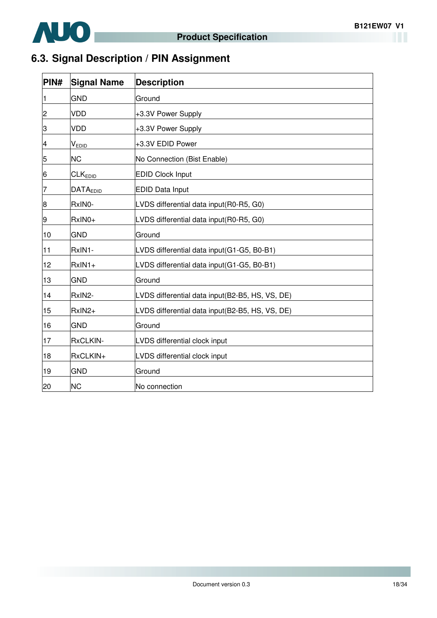

# **6.3. Signal Description / PIN Assignment**

 $\overline{\phantom{a}}$ 

| PIN#           | <b>Signal Name</b>     | <b>Description</b>                              |
|----------------|------------------------|-------------------------------------------------|
| 11             | <b>GND</b>             | Ground                                          |
| $\overline{2}$ | VDD                    | +3.3V Power Supply                              |
| 3              | <b>VDD</b>             | +3.3V Power Supply                              |
| 4              | $V_{EDI\underline{D}}$ | +3.3V EDID Power                                |
| 5              | <b>NC</b>              | No Connection (Bist Enable)                     |
| 6              | CLK <sub>EDID</sub>    | <b>EDID Clock Input</b>                         |
| 7              | <b>DATAEDID</b>        | <b>EDID Data Input</b>                          |
| 8              | RxIN0-                 | LVDS differential data input(R0-R5, G0)         |
| 9              | RxIN0+                 | LVDS differential data input(R0-R5, G0)         |
| 10             | <b>GND</b>             | Ground                                          |
| 11             | RxIN1-                 | LVDS differential data input(G1-G5, B0-B1)      |
| 12             | $RxIN1+$               | LVDS differential data input(G1-G5, B0-B1)      |
| 13             | <b>GND</b>             | Ground                                          |
| 14             | RxIN2-                 | LVDS differential data input(B2-B5, HS, VS, DE) |
| 15             | RxIN2+                 | LVDS differential data input(B2-B5, HS, VS, DE) |
| 16             | <b>GND</b>             | Ground                                          |
| 17             | RxCLKIN-               | LVDS differential clock input                   |
| 18             | RxCLKIN+               | LVDS differential clock input                   |
| 19             | <b>GND</b>             | Ground                                          |
| 20             | <b>NC</b>              | No connection                                   |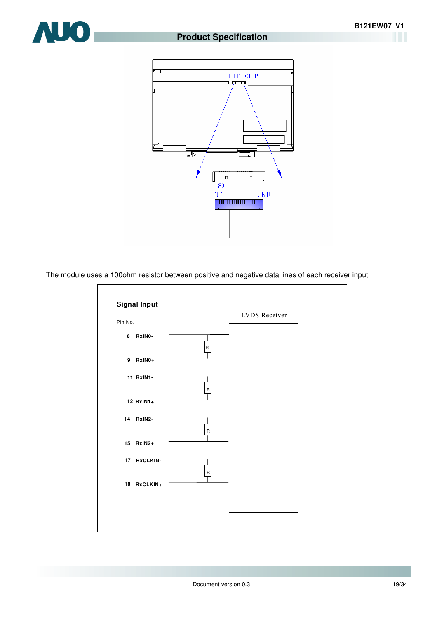#### **Product Specification**





The module uses a 100ohm resistor between positive and negative data lines of each receiver input

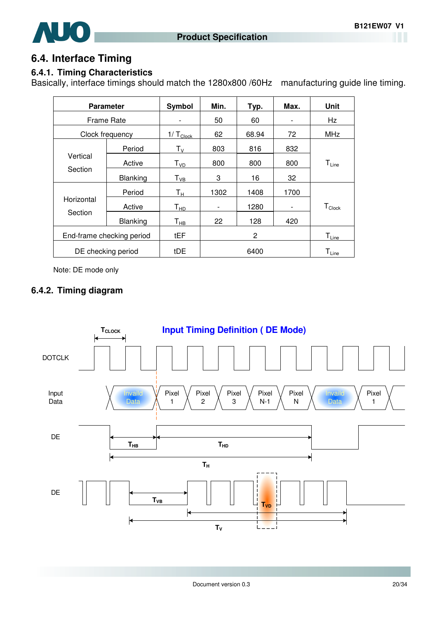

#### **6.4. Interface Timing**

#### **6.4.1. Timing Characteristics**

Basically, interface timings should match the 1280x800 /60Hz manufacturing guide line timing.

| <b>Parameter</b>          |                 | Symbol                        | Min.                     | Typ.  | Max.                     | <b>Unit</b>                             |
|---------------------------|-----------------|-------------------------------|--------------------------|-------|--------------------------|-----------------------------------------|
| Frame Rate                |                 |                               | 50                       | 60    |                          | Hz                                      |
| Clock frequency           |                 | $1/\mathsf{T}_{\text{Clock}}$ | 62                       | 68.94 | 72                       | <b>MHz</b>                              |
|                           | Period          | $\mathsf{T}_\mathsf{V}$       | 803                      | 816   | 832                      |                                         |
| Vertical                  | Active          | T <sub>VD</sub>               | 800                      | 800   | 800                      | $T_{Line}$                              |
| Section                   | Blanking        | $\mathsf{T}_{\mathsf{VB}}$    | 3                        | 16    | 32                       |                                         |
|                           | Period          | Tн                            | 1302                     | 1408  | 1700                     |                                         |
| Horizontal                | Active          | $T_{HD}$                      | $\overline{\phantom{a}}$ | 1280  | $\overline{\phantom{a}}$ | $T_{\text{Clock}}$                      |
| Section                   | <b>Blanking</b> | $\mathsf{T}_{\mathsf{HB}}$    | 22                       | 128   | 420                      |                                         |
| End-frame checking period |                 | tEF                           |                          | 2     |                          | $\mathsf{T}_{\underbar{\mathsf{Line}}}$ |
| DE checking period        |                 | tDE                           |                          | 6400  |                          | $T_{Line}$                              |

Note: DE mode only

#### **6.4.2. Timing diagram**

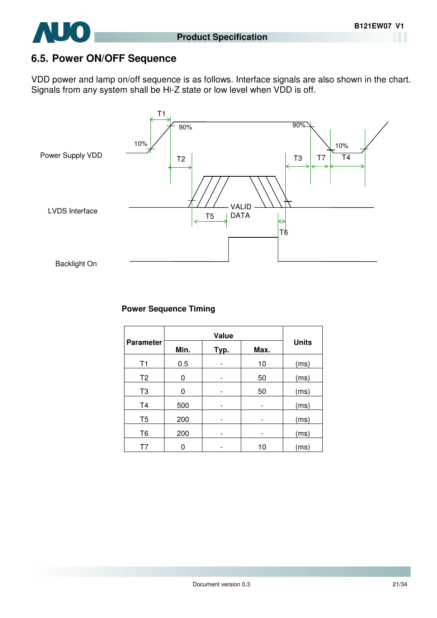

### **6.5. Power ON/OFF Sequence**

VDD power and lamp on/off sequence is as follows. Interface signals are also shown in the chart. Signals from any system shall be Hi-Z state or low level when VDD is off.



#### **Power Sequence Timing**

| <b>Parameter</b> | Min.<br>Typ. |  | Max. | <b>Units</b> |  |
|------------------|--------------|--|------|--------------|--|
| T1               | 0.5          |  | 10   | (ms)         |  |
| T <sub>2</sub>   | 0            |  | 50   | (ms)         |  |
| T <sub>3</sub>   | 0            |  | 50   | (ms)         |  |
| T <sub>4</sub>   | 500          |  |      | (ms)         |  |
| T <sub>5</sub>   | 200          |  |      | (ms)         |  |
| T <sub>6</sub>   | 200          |  |      | (ms)         |  |
| Τ7               | 0            |  | 10   | (ms)         |  |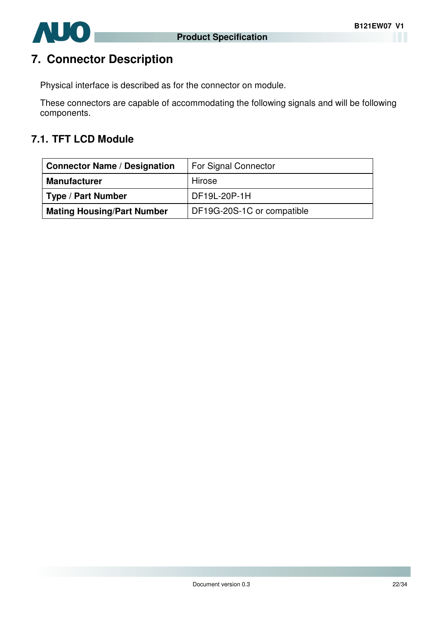

# **7. Connector Description**

Physical interface is described as for the connector on module.

These connectors are capable of accommodating the following signals and will be following components.

#### **7.1. TFT LCD Module**

| <b>Connector Name / Designation</b> | For Signal Connector       |
|-------------------------------------|----------------------------|
| <b>Manufacturer</b>                 | Hirose                     |
| <b>Type / Part Number</b>           | DF19L-20P-1H               |
| <b>Mating Housing/Part Number</b>   | DF19G-20S-1C or compatible |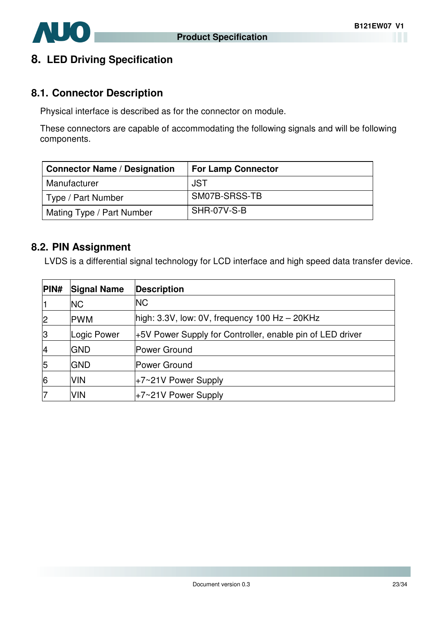

### **8. LED Driving Specification**

#### **8.1. Connector Description**

Physical interface is described as for the connector on module.

These connectors are capable of accommodating the following signals and will be following components.

| <b>Connector Name / Designation</b> | <b>For Lamp Connector</b> |
|-------------------------------------|---------------------------|
| Manufacturer                        | JST                       |
| Type / Part Number                  | SM07B-SRSS-TB             |
| Mating Type / Part Number           | SHR-07V-S-B               |

#### **8.2. PIN Assignment**

LVDS is a differential signal technology for LCD interface and high speed data transfer device.

| PIN#           | <b>Signal Name</b> | <b>Description</b>                                        |
|----------------|--------------------|-----------------------------------------------------------|
| 1              | <b>NC</b>          | <b>NC</b>                                                 |
| $\overline{2}$ | <b>PWM</b>         | high: $3.3V$ , low: 0V, frequency 100 Hz $-$ 20KHz        |
| 3              | Logic Power        | +5V Power Supply for Controller, enable pin of LED driver |
| 4              | <b>GND</b>         | Power Ground                                              |
| 5              | <b>IGND</b>        | Power Ground                                              |
| 6              | <b>VIN</b>         | +7~21V Power Supply                                       |
| 17             | <b>VIN</b>         | +7~21V Power Supply                                       |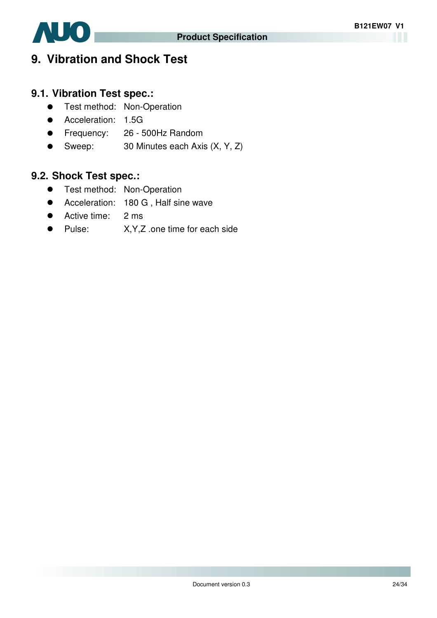

# **9. Vibration and Shock Test**

# **9.1. Vibration Test spec.:**

- **•** Test method: Non-Operation
- **Acceleration: 1.5G**
- Frequency: 26 500Hz Random
- Sweep: 30 Minutes each Axis (X, Y, Z)

# **9.2. Shock Test spec.:**

- **•** Test method: Non-Operation
- Acceleration: 180 G , Half sine wave
- Active time: 2 ms
- Pulse: X, Y, Z .one time for each side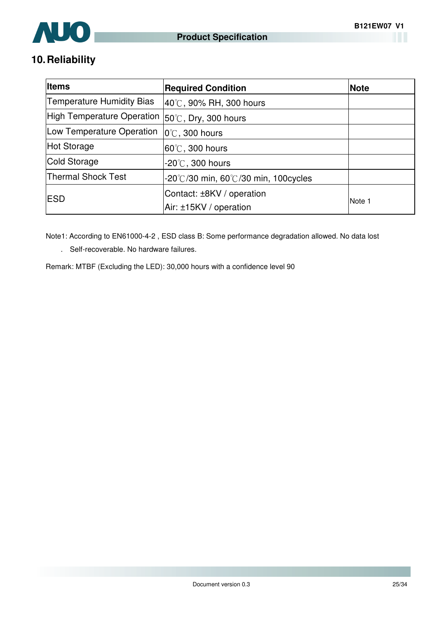

# **10. Reliability**

| <b>Items</b>                                               | <b>Required Condition</b>                                | <b>Note</b> |
|------------------------------------------------------------|----------------------------------------------------------|-------------|
| <b>Temperature Humidity Bias</b>                           | 40°C, 90% RH, 300 hours                                  |             |
| High Temperature Operation $ 50^{\circ}$ C, Dry, 300 hours |                                                          |             |
| Low Temperature Operation                                  | $ 0^{\circ}$ C, 300 hours                                |             |
| Hot Storage                                                | $ 60^{\circ}$ C, 300 hours                               |             |
| Cold Storage                                               | -20 $\degree$ C, 300 hours                               |             |
| <b>Thermal Shock Test</b>                                  | $-20^{\circ}$ /30 min, 60 $^{\circ}$ /30 min, 100 cycles |             |
| <b>IESD</b>                                                | Contact: ±8KV / operation                                | Note 1      |
|                                                            | Air: ±15KV / operation                                   |             |

Note1: According to EN61000-4-2 , ESD class B: Some performance degradation allowed. No data lost

. Self-recoverable. No hardware failures.

Remark: MTBF (Excluding the LED): 30,000 hours with a confidence level 90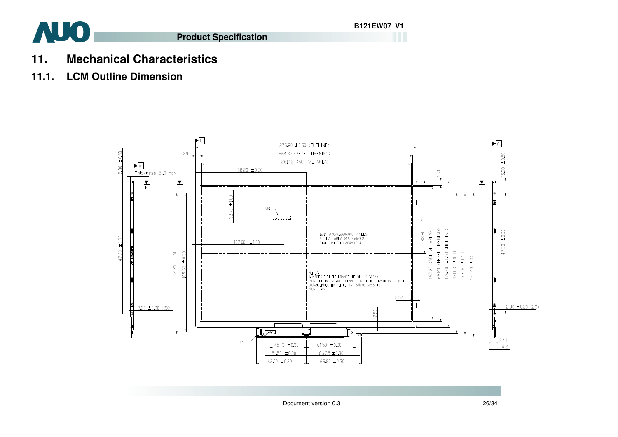

- **11. Mechanical Characteristics**
- **11.1. LCM Outline Dimension**

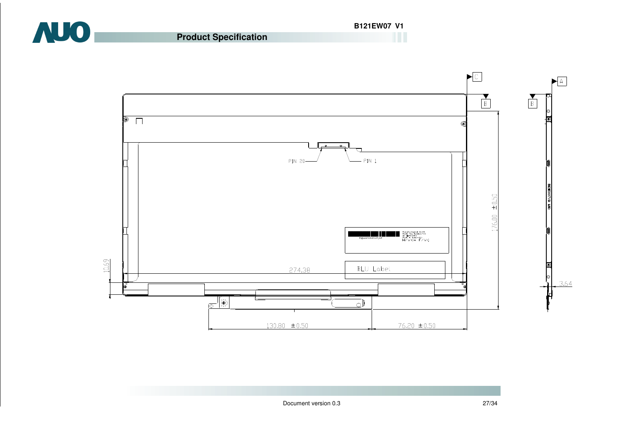

**Product Specification**

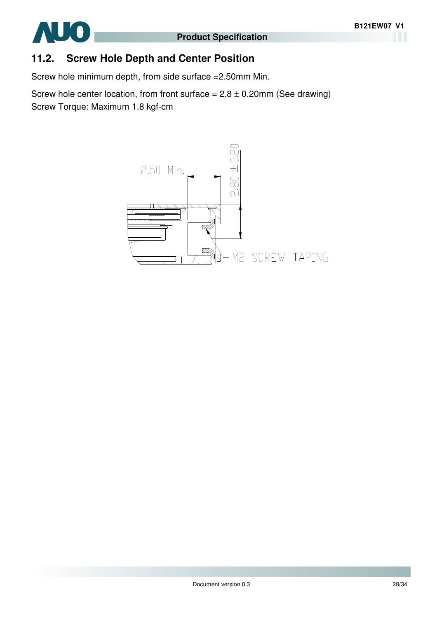

#### **11.2. Screw Hole Depth and Center Position**

Screw hole minimum depth, from side surface =2.50mm Min.

Screw hole center location, from front surface =  $2.8 \pm 0.20$ mm (See drawing) Screw Torque: Maximum 1.8 kgf-cm

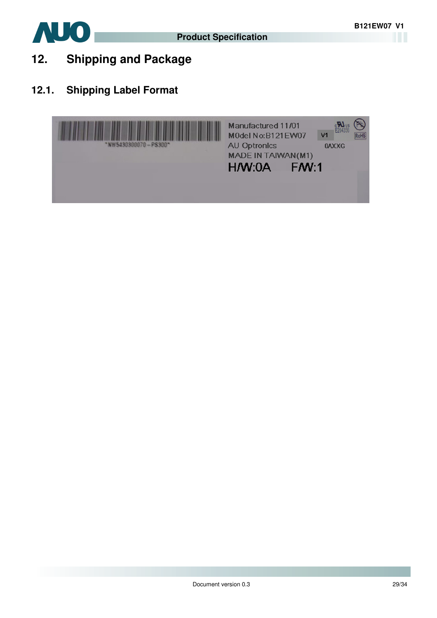

- **12. Shipping and Package**
- **12.1. Shipping Label Format**

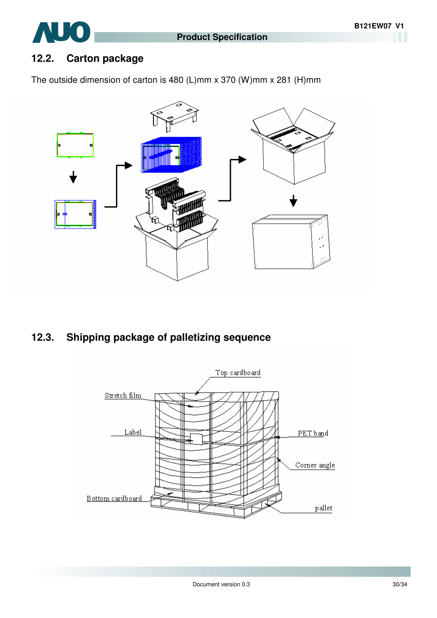

# AUO

## **12.2. Carton package**

The outside dimension of carton is 480 (L)mm x 370 (W)mm x 281 (H)mm



# **12.3. Shipping package of palletizing sequence**

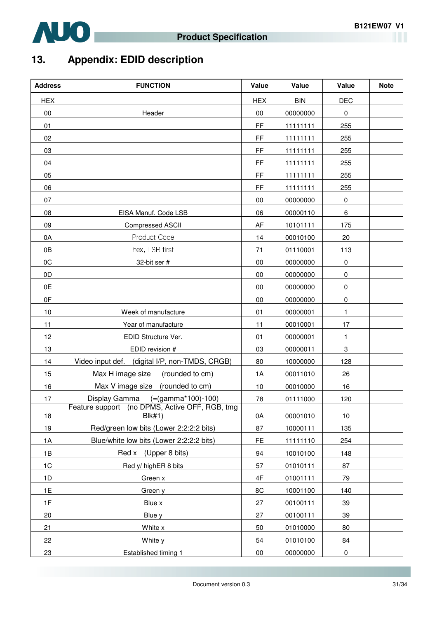

# **13. Appendix: EDID description**

| <b>Address</b> | <b>FUNCTION</b>                                                 | Value         | Value      | Value        | <b>Note</b> |
|----------------|-----------------------------------------------------------------|---------------|------------|--------------|-------------|
| <b>HEX</b>     |                                                                 | <b>HEX</b>    | <b>BIN</b> | <b>DEC</b>   |             |
| $00\,$         | Header                                                          | 00            | 00000000   | $\pmb{0}$    |             |
| 01             |                                                                 | FF            | 11111111   | 255          |             |
| 02             |                                                                 | FF            | 11111111   | 255          |             |
| 03             |                                                                 | FF            | 11111111   | 255          |             |
| 04             |                                                                 | FF            | 11111111   | 255          |             |
| 05             |                                                                 | FF            | 11111111   | 255          |             |
| 06             |                                                                 | FF            | 11111111   | 255          |             |
| 07             |                                                                 | 00            | 00000000   | $\pmb{0}$    |             |
| 08             | EISA Manuf. Code LSB                                            | 06            | 00000110   | $\,6\,$      |             |
| 09             | Compressed ASCII                                                | AF            | 10101111   | 175          |             |
| 0A             | Product Code                                                    | 14            | 00010100   | 20           |             |
| 0B             | hex, LSB first                                                  | 71            | 01110001   | 113          |             |
| 0C             | 32-bit ser #                                                    | $00\,$        | 00000000   | 0            |             |
| 0D             |                                                                 | 00            | 00000000   | 0            |             |
| 0E             |                                                                 | 00            | 00000000   | $\pmb{0}$    |             |
| 0F             |                                                                 | 00            | 00000000   | 0            |             |
| 10             | Week of manufacture                                             | 01            | 00000001   | $\mathbf{1}$ |             |
| 11             | Year of manufacture                                             | 11            | 00010001   | 17           |             |
| 12             | EDID Structure Ver.                                             | 01            | 00000001   | $\mathbf{1}$ |             |
| 13             | EDID revision #                                                 | 03            | 00000011   | 3            |             |
| 14             | Video input def. (digital I/P, non-TMDS, CRGB)                  | 80            | 10000000   | 128          |             |
| 15             | Max H image size<br>(rounded to cm)                             | 1A            | 00011010   | 26           |             |
| 16             | Max V image size (rounded to cm)                                | 10            | 00010000   | 16           |             |
| 17             | Display Gamma (=(gamma*100)-100)                                | 78            | 01111000   | 120          |             |
| 18             | Feature support (no DPMS, Active OFF, RGB, tmg<br><b>Blk#1)</b> | 0A            | 00001010   | 10           |             |
| 19             | Red/green low bits (Lower 2:2:2:2 bits)                         | 87            | 10000111   | 135          |             |
| 1A             | Blue/white low bits (Lower 2:2:2:2 bits)                        | <b>FE</b>     | 11111110   | 254          |             |
| 1B             | Red x (Upper 8 bits)                                            | 94            | 10010100   | 148          |             |
| 1C             | Red y/ highER 8 bits                                            | 57            | 01010111   | 87           |             |
| 1D             | Green x                                                         | $4\mathsf{F}$ | 01001111   | 79           |             |
| 1E             | Green y                                                         | 8C            | 10001100   | 140          |             |
| 1F             | Blue x                                                          | 27            | 00100111   | 39           |             |
| 20             | Blue y                                                          | 27            | 00100111   | 39           |             |
| 21             | White x                                                         | 50            | 01010000   | 80           |             |
| 22             | White y                                                         | 54            | 01010100   | 84           |             |
| 23             | Established timing 1                                            | $00\,$        | 00000000   | $\pmb{0}$    |             |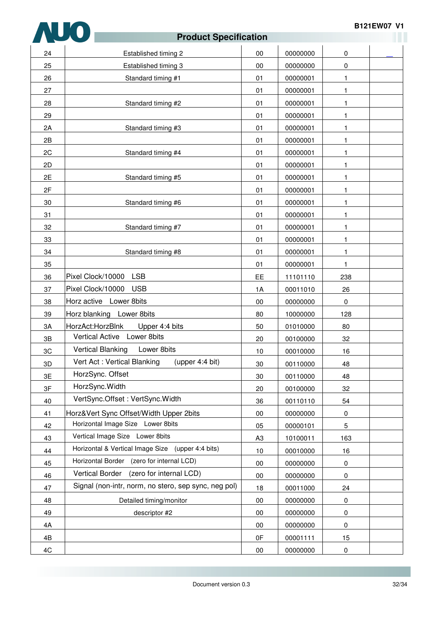

|    | ι τυναινι σρονιπναιινιτ                              |                |          |              | a ka |
|----|------------------------------------------------------|----------------|----------|--------------|------|
| 24 | Established timing 2                                 | 00             | 00000000 | $\pmb{0}$    |      |
| 25 | Established timing 3                                 | 00             | 00000000 | $\pmb{0}$    |      |
| 26 | Standard timing #1                                   | 01             | 00000001 | 1            |      |
| 27 |                                                      | 01             | 00000001 | 1            |      |
| 28 | Standard timing #2                                   | 01             | 00000001 | 1            |      |
| 29 |                                                      | 01             | 00000001 | 1            |      |
| 2A | Standard timing #3                                   | 01             | 00000001 | 1            |      |
| 2B |                                                      | 01             | 00000001 | 1            |      |
| 2C | Standard timing #4                                   | 01             | 00000001 | 1            |      |
| 2D |                                                      | 01             | 00000001 | $\mathbf{1}$ |      |
| 2E | Standard timing #5                                   | 01             | 00000001 | 1            |      |
| 2F |                                                      | 01             | 00000001 | 1            |      |
| 30 | Standard timing #6                                   | 01             | 00000001 | 1            |      |
| 31 |                                                      | 01             | 00000001 | 1            |      |
| 32 | Standard timing #7                                   | 01             | 00000001 | 1            |      |
| 33 |                                                      | 01             | 00000001 | 1            |      |
| 34 | Standard timing #8                                   | 01             | 00000001 | $\mathbf{1}$ |      |
| 35 |                                                      | 01             | 00000001 | 1.           |      |
| 36 | Pixel Clock/10000<br><b>LSB</b>                      | EE             | 11101110 | 238          |      |
| 37 | Pixel Clock/10000<br><b>USB</b>                      | 1A             | 00011010 | 26           |      |
| 38 | Horz active Lower 8bits                              | 00             | 00000000 | $\pmb{0}$    |      |
| 39 | Horz blanking Lower 8bits                            | 80             | 10000000 | 128          |      |
| 3A | HorzAct:HorzBlnk<br>Upper 4:4 bits                   | 50             | 01010000 | 80           |      |
| 3B | Lower 8bits<br><b>Vertical Active</b>                | 20             | 00100000 | 32           |      |
| 3C | <b>Vertical Blanking</b><br>Lower 8bits              | 10             | 00010000 | 16           |      |
| 3D | Vert Act: Vertical Blanking<br>(upper 4:4 bit)       | 30             | 00110000 | 48           |      |
| 3E | HorzSync. Offset                                     | 30             | 00110000 | 48           |      |
| 3F | HorzSync.Width                                       | 20             | 00100000 | 32           |      |
| 40 | VertSync.Offset: VertSync.Width                      | 36             | 00110110 | 54           |      |
| 41 | Horz‖ Sync Offset/Width Upper 2bits                  | $00\,$         | 00000000 | $\pmb{0}$    |      |
| 42 | Horizontal Image Size Lower 8bits                    | 05             | 00000101 | 5            |      |
| 43 | Vertical Image Size Lower 8bits                      | A <sub>3</sub> | 10100011 | 163          |      |
| 44 | Horizontal & Vertical Image Size<br>(upper 4:4 bits) | 10             | 00010000 | 16           |      |
| 45 | Horizontal Border (zero for internal LCD)            | $00\,$         | 00000000 | 0            |      |
| 46 | (zero for internal LCD)<br>Vertical Border           | 00             | 00000000 | $\pmb{0}$    |      |
| 47 | Signal (non-intr, norm, no stero, sep sync, neg pol) | 18             | 00011000 | 24           |      |
| 48 | Detailed timing/monitor                              | $00\,$         | 00000000 | $\pmb{0}$    |      |
| 49 | descriptor #2                                        | 00             | 00000000 | $\pmb{0}$    |      |
| 4A |                                                      | $00\,$         | 00000000 | $\pmb{0}$    |      |
| 4B |                                                      | 0F             | 00001111 | 15           |      |
| 4C |                                                      | $00\,$         | 00000000 | $\pmb{0}$    |      |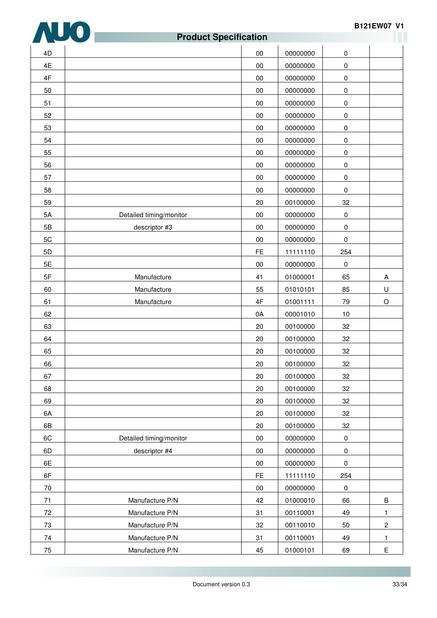

### **Product Specification** 4D 00 00000000 0 4E 00 00000000 0 4F 00 00000000 0 50 00 00000000 0 51 00 00000000 0 52 00 00000000 0 53 00 00000000 0 54 00 00000000 0 55 00 00000000 0 56 00 00000000 0 57 00 00000000 0 58 00 00000000 0 59 20 00100000 32 5A Detailed timing/monitor 00 00000000 0 5B | descriptor #3 | 00 | 00000000 | 0 5C 00 00000000 0 5D FE 11111110 254 5E 00 00000000 0 5F Manufacture 41 01000001 65 A 60 Manufacture 55 01010101 85 U 61 Manufacture 4F 01001111 79 O 62 00001010 10 63 20 00100000 32 64 20 00100000 32 65 20 00100000 32 66 20 00100000 32 67 20 00100000 32 68 20 00100000 32 69 | 20 | 00100000 | 32 6A 20 00100000 32 6B 20 00100000 32 6C | Detailed timing/monitor | 00 00000000 0 6D **descriptor #4** 00 00000000 0 6E 00 00000000 0 6F FE 11111110 254 70 00 00000000 0 71 | Manufacture P/N | 42 | 01000010 | 66 | B 72 | Manufacture P/N | 31 | 00110001 | 49 | 1 73 | Manufacture P/N | 32 | 00110010 | 50 | 2 74 | Manufacture P/N | 31 | 00110001 | 49 | 1 75 Manufacture P/N 45 01000101 69 E